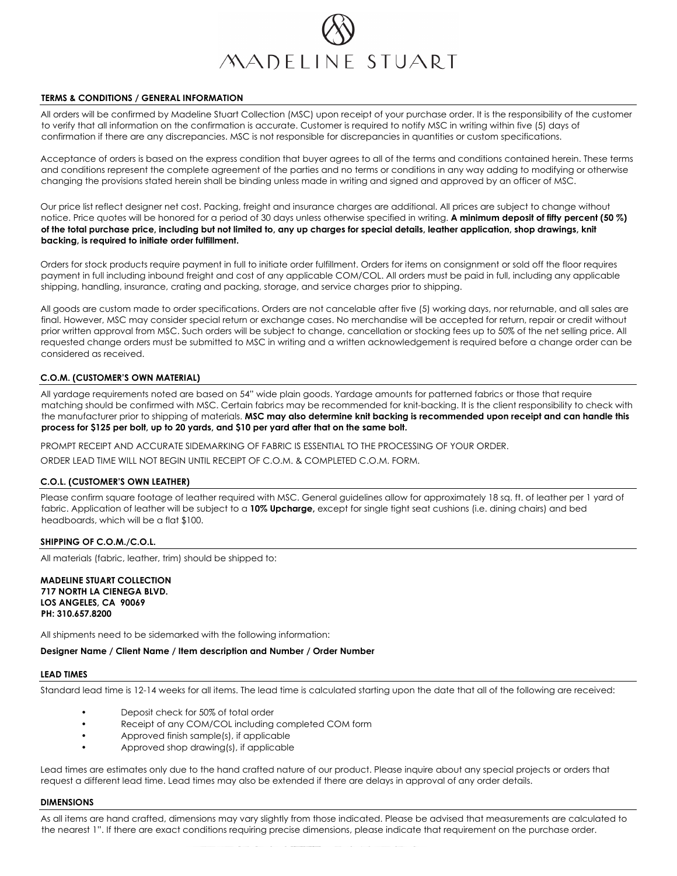

## **TERMS & CONDITIONS / GENERAL INFORMATION**

All orders will be confirmed by Madeline Stuart Collection (MSC) upon receipt of your purchase order. It is the responsibility of the customer to verify that all information on the confirmation is accurate. Customer is required to notify MSC in writing within five (5) days of confirmation if there are any discrepancies. MSC is not responsible for discrepancies in quantities or custom specifications.

Acceptance of orders is based on the express condition that buyer agrees to all of the terms and conditions contained herein. These terms and conditions represent the complete agreement of the parties and no terms or conditions in any way adding to modifying or otherwise changing the provisions stated herein shall be binding unless made in writing and signed and approved by an officer of MSC.

Our price list reflect designer net cost. Packing, freight and insurance charges are additional. All prices are subject to change without notice. Price quotes will be honored for a period of 30 days unless otherwise specified in writing. **A minimum deposit of fifty percent (50 %) of the total purchase price, including but not limited to, any up charges for special details, leather application, shop drawings, knit backing, is required to initiate order fulfillment.**

Orders for stock products require payment in full to initiate order fulfillment. Orders for items on consignment or sold off the floor requires payment in full including inbound freight and cost of any applicable COM/COL. All orders must be paid in full, including any applicable shipping, handling, insurance, crating and packing, storage, and service charges prior to shipping.

All goods are custom made to order specifications. Orders are not cancelable after five (5) working days, nor returnable, and all sales are final. However, MSC may consider special return or exchange cases. No merchandise will be accepted for return, repair or credit without prior written approval from MSC. Such orders will be subject to change, cancellation or stocking fees up to 50% of the net selling price. All requested change orders must be submitted to MSC in writing and a written acknowledgement is required before a change order can be considered as received.

### **C.O.M. (CUSTOMER'S OWN MATERIAL)**

All yardage requirements noted are based on 54" wide plain goods. Yardage amounts for patterned fabrics or those that require matching should be confirmed with MSC. Certain fabrics may be recommended for knit-backing. It is the client responsibility to check with the manufacturer prior to shipping of materials. **MSC may also determine knit backing is recommended upon receipt and can handle this process for \$125 per bolt, up to 20 yards, and \$10 per yard after that on the same bolt.**

PROMPT RECEIPT AND ACCURATE SIDEMARKING OF FABRIC IS ESSENTIAL TO THE PROCESSING OF YOUR ORDER.

ORDER LEAD TIME WILL NOT BEGIN UNTIL RECEIPT OF C.O.M. & COMPLETED C.O.M. FORM.

### **C.O.L. (CUSTOMER'S OWN LEATHER)**

Please confirm square footage of leather required with MSC. General guidelines allow for approximately 18 sq. ft. of leather per 1 yard of fabric. Application of leather will be subject to a **10% Upcharge,** except for single tight seat cushions (i.e. dining chairs) and bed headboards, which will be a flat \$100.

## **SHIPPING OF C.O.M./C.O.L.**

All materials (fabric, leather, trim) should be shipped to:

**MADELINE STUART COLLECTION 717 NORTH LA CIENEGA BLVD. LOS ANGELES, CA 90069 PH: 310.657.8200**

All shipments need to be sidemarked with the following information:

**Designer Name / Client Name / Item description and Number / Order Number**

### **LEAD TIMES**

Standard lead time is 12-14 weeks for all items. The lead time is calculated starting upon the date that all of the following are received:

- Deposit check for 50% of total order
- Receipt of any COM/COL including completed COM form
- Approved finish sample(s), if applicable
- Approved shop drawing(s), if applicable

Lead times are estimates only due to the hand crafted nature of our product. Please inquire about any special projects or orders that request a different lead time. Lead times may also be extended if there are delays in approval of any order details.

### **DIMENSIONS**

As all items are hand crafted, dimensions may vary slightly from those indicated. Please be advised that measurements are calculated to the nearest 1". If there are exact conditions requiring precise dimensions, please indicate that requirement on the purchase order.